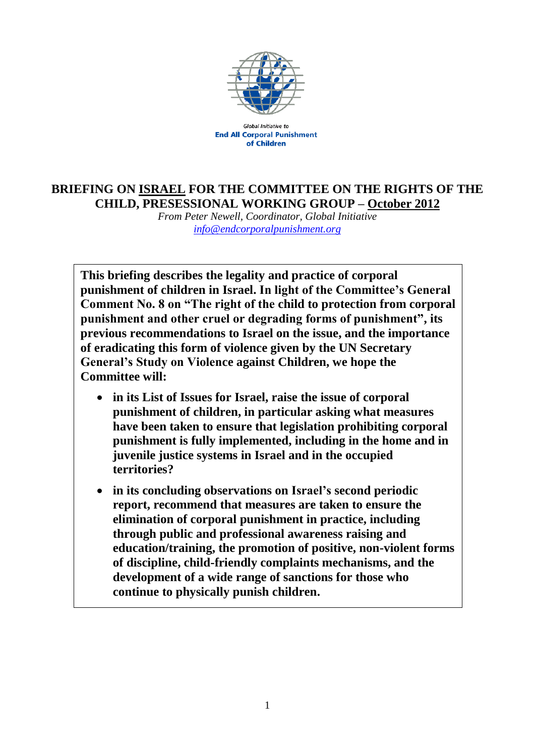

Global Initiative to **End All Corporal Punishment** of Children

## **BRIEFING ON ISRAEL FOR THE COMMITTEE ON THE RIGHTS OF THE CHILD, PRESESSIONAL WORKING GROUP – October 2012**

*From Peter Newell, Coordinator, Global Initiative [info@endcorporalpunishment.org](mailto:info@endcorporalpunishment.org)*

**This briefing describes the legality and practice of corporal punishment of children in Israel. In light of the Committee's General Comment No. 8 on "The right of the child to protection from corporal punishment and other cruel or degrading forms of punishment", its previous recommendations to Israel on the issue, and the importance of eradicating this form of violence given by the UN Secretary General's Study on Violence against Children, we hope the Committee will:**

- **in its List of Issues for Israel, raise the issue of corporal punishment of children, in particular asking what measures have been taken to ensure that legislation prohibiting corporal punishment is fully implemented, including in the home and in juvenile justice systems in Israel and in the occupied territories?**
- **in its concluding observations on Israel's second periodic report, recommend that measures are taken to ensure the elimination of corporal punishment in practice, including through public and professional awareness raising and education/training, the promotion of positive, non-violent forms of discipline, child-friendly complaints mechanisms, and the development of a wide range of sanctions for those who continue to physically punish children.**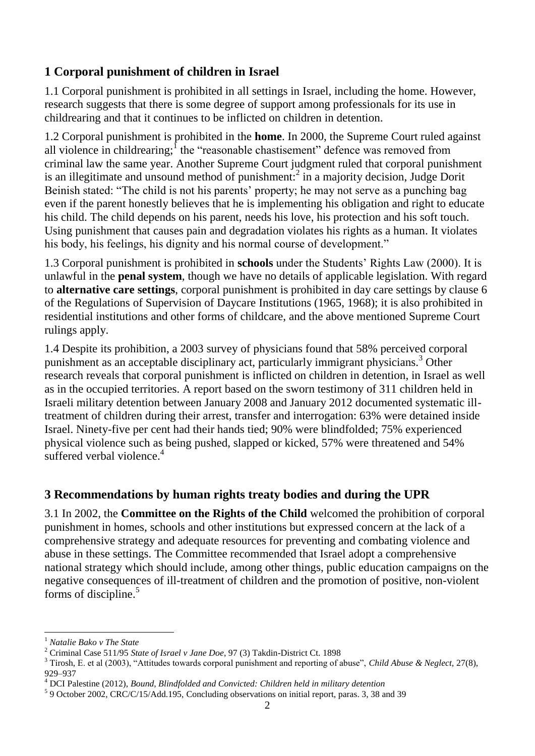## **1 Corporal punishment of children in Israel**

1.1 Corporal punishment is prohibited in all settings in Israel, including the home. However, research suggests that there is some degree of support among professionals for its use in childrearing and that it continues to be inflicted on children in detention.

1.2 Corporal punishment is prohibited in the **home**. In 2000, the Supreme Court ruled against all violence in childrearing;  $\int$  the "reasonable chastisement" defence was removed from criminal law the same year. Another Supreme Court judgment ruled that corporal punishment is an illegitimate and unsound method of punishment:<sup>2</sup> in a majority decision, Judge Dorit Beinish stated: "The child is not his parents' property; he may not serve as a punching bag even if the parent honestly believes that he is implementing his obligation and right to educate his child. The child depends on his parent, needs his love, his protection and his soft touch. Using punishment that causes pain and degradation violates his rights as a human. It violates his body, his feelings, his dignity and his normal course of development."

1.3 Corporal punishment is prohibited in **schools** under the Students' Rights Law (2000). It is unlawful in the **penal system**, though we have no details of applicable legislation. With regard to **alternative care settings**, corporal punishment is prohibited in day care settings by clause 6 of the Regulations of Supervision of Daycare Institutions (1965, 1968); it is also prohibited in residential institutions and other forms of childcare, and the above mentioned Supreme Court rulings apply.

1.4 Despite its prohibition, a 2003 survey of physicians found that 58% perceived corporal punishment as an acceptable disciplinary act, particularly immigrant physicians.<sup>3</sup> Other research reveals that corporal punishment is inflicted on children in detention, in Israel as well as in the occupied territories. A report based on the sworn testimony of 311 children held in Israeli military detention between January 2008 and January 2012 documented systematic illtreatment of children during their arrest, transfer and interrogation: 63% were detained inside Israel. Ninety-five per cent had their hands tied; 90% were blindfolded; 75% experienced physical violence such as being pushed, slapped or kicked, 57% were threatened and 54% suffered verbal violence. $4$ 

## **3 Recommendations by human rights treaty bodies and during the UPR**

3.1 In 2002, the **Committee on the Rights of the Child** welcomed the prohibition of corporal punishment in homes, schools and other institutions but expressed concern at the lack of a comprehensive strategy and adequate resources for preventing and combating violence and abuse in these settings. The Committee recommended that Israel adopt a comprehensive national strategy which should include, among other things, public education campaigns on the negative consequences of ill-treatment of children and the promotion of positive, non-violent forms of discipline. $5$ 

 $\overline{a}$ 

<sup>1</sup> *Natalie Bako v The State*

<sup>2</sup> Criminal Case 511/95 *State of Israel v Jane Doe*, 97 (3) Takdin-District Ct. 1898

<sup>3</sup> Tirosh, E. et al (2003), "Attitudes towards corporal punishment and reporting of abuse", *Child Abuse & Neglect,* 27(8), 929–937

<sup>4</sup> DCI Palestine (2012), *Bound, Blindfolded and Convicted: Children held in military detention*

<sup>&</sup>lt;sup>5</sup> 9 October 2002, CRC/C/15/Add.195, Concluding observations on initial report, paras. 3, 38 and 39